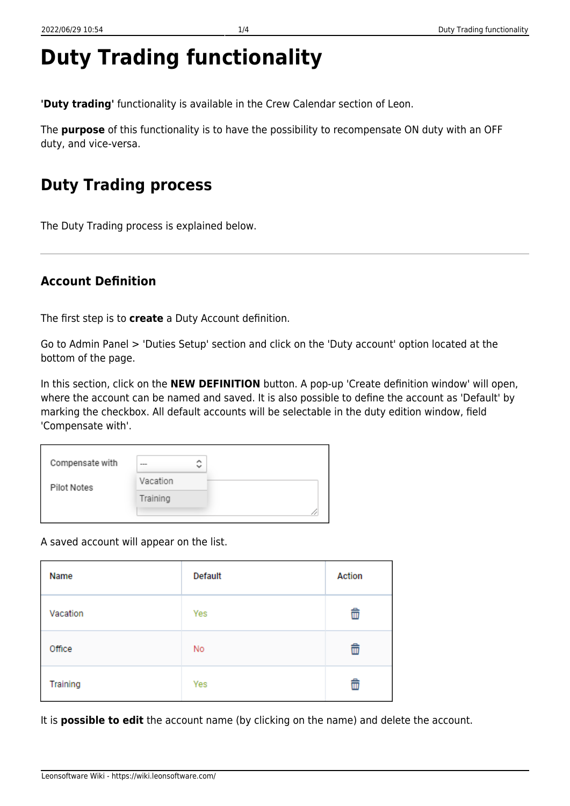# **Duty Trading functionality**

**'Duty trading'** functionality is available in the Crew Calendar section of Leon.

The **purpose** of this functionality is to have the possibility to recompensate ON duty with an OFF duty, and vice-versa.

# **Duty Trading process**

The Duty Trading process is explained below.

## **Account Definition**

The first step is to **create** a Duty Account definition.

Go to Admin Panel > 'Duties Setup' section and click on the 'Duty account' option located at the bottom of the page.

In this section, click on the **NEW DEFINITION** button. A pop-up 'Create definition window' will open, where the account can be named and saved. It is also possible to define the account as 'Default' by marking the checkbox. All default accounts will be selectable in the duty edition window, field 'Compensate with'.

| Compensate with | $- - -$  | ́<br>$\checkmark$ |
|-----------------|----------|-------------------|
| Pilot Notes     | Vacation |                   |
|                 | Training |                   |
|                 |          |                   |

A saved account will appear on the list.

| Name     | Default | Action |
|----------|---------|--------|
| Vacation | Yes     | û      |
| Office   | No      | û      |
| Training | Yes     | û      |

It is **possible to edit** the account name (by clicking on the name) and delete the account.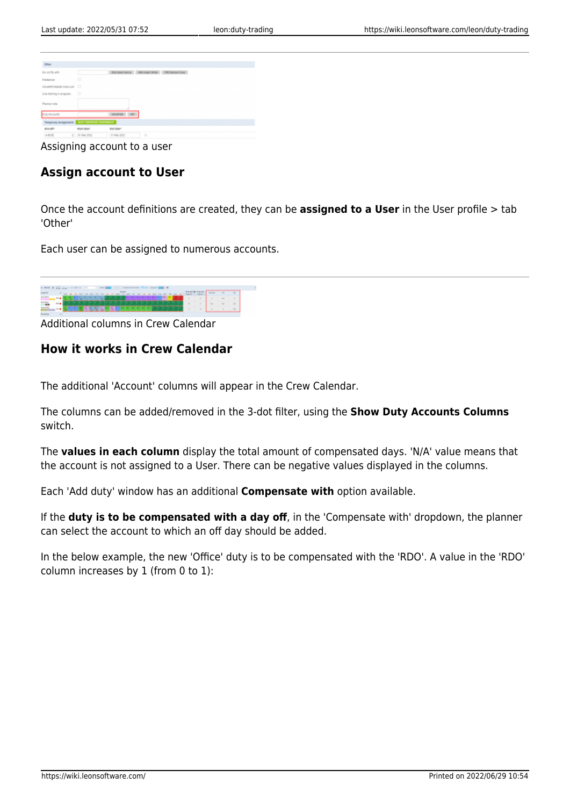| DOM                                              |             |                                               |
|--------------------------------------------------|-------------|-----------------------------------------------|
| Donald Tyrestin                                  |             | ADS SOMETIMES - STATUS TRIPS - CREDIT MANCHES |
| Penalaman                                        | $\Box$      |                                               |
| US AMTERISATIVI DIRA LUZ D                       |             |                                               |
| Line training in progress                        | $\circ$     |                                               |
| Planner note                                     |             |                                               |
| Duty Accounts                                    |             | VACATION OF                                   |
| Temporary Basignments   M.A. I LAPSING ACCOMPTER |             |                                               |
| sixuato                                          | trust data* | trel date:                                    |
| A0050                                            | 0 0 MW 2022 | $\mathbb{X}$<br>(F1 May 2922)                 |

Assigning account to a user

### **Assign account to User**

Once the account definitions are created, they can be **assigned to a User** in the User profile > tab 'Other'

Each user can be assigned to numerous accounts.

| a base of any car a firm a rest in the party of the contentration from least part of |              |  |  |  |  |  |   |               |  |  |  |  |  |                                                                                                       |             |             |
|--------------------------------------------------------------------------------------|--------------|--|--|--|--|--|---|---------------|--|--|--|--|--|-------------------------------------------------------------------------------------------------------|-------------|-------------|
|                                                                                      |              |  |  |  |  |  |   | <b>SALESY</b> |  |  |  |  |  | The company of the company of the company of the company of the company of the company of the company |             |             |
|                                                                                      |              |  |  |  |  |  |   |               |  |  |  |  |  |                                                                                                       |             |             |
|                                                                                      |              |  |  |  |  |  | . |               |  |  |  |  |  | The State                                                                                             | <b>TELE</b> | <b>SALE</b> |
|                                                                                      |              |  |  |  |  |  |   |               |  |  |  |  |  | <b>ALCOHOL:</b>                                                                                       |             |             |
|                                                                                      | <b>START</b> |  |  |  |  |  |   |               |  |  |  |  |  |                                                                                                       |             |             |

Additional columns in Crew Calendar

#### **How it works in Crew Calendar**

The additional 'Account' columns will appear in the Crew Calendar.

The columns can be added/removed in the 3-dot filter, using the **Show Duty Accounts Columns** switch.

The **values in each column** display the total amount of compensated days. 'N/A' value means that the account is not assigned to a User. There can be negative values displayed in the columns.

Each 'Add duty' window has an additional **Compensate with** option available.

If the **duty is to be compensated with a day off**, in the 'Compensate with' dropdown, the planner can select the account to which an off day should be added.

In the below example, the new 'Office' duty is to be compensated with the 'RDO'. A value in the 'RDO' column increases by 1 (from 0 to 1):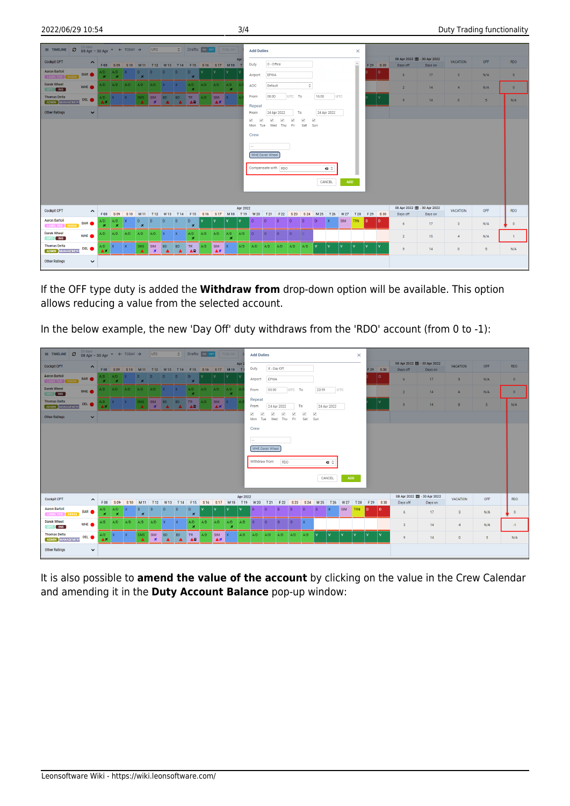| $\equiv$ TIMELINE $\Box$                       | 23 days<br>08 Apr - 30 Apr $\rightarrow$ $\leftarrow$ TODAY $\rightarrow$ |                                |                            |              |                                          | UTC                               |                               |                               | C Drafts: ON OFF    |                   |                                                            | <b>PUBLISH</b>                                |          | <b>Add Duties</b>                       |                 |                             |                     |                                     |              |              |            | $\times$          |          |         |                 |                                          |                 |                |                |
|------------------------------------------------|---------------------------------------------------------------------------|--------------------------------|----------------------------|--------------|------------------------------------------|-----------------------------------|-------------------------------|-------------------------------|---------------------|-------------------|------------------------------------------------------------|-----------------------------------------------|----------|-----------------------------------------|-----------------|-----------------------------|---------------------|-------------------------------------|--------------|--------------|------------|-------------------|----------|---------|-----------------|------------------------------------------|-----------------|----------------|----------------|
| <b>Cockpit CPT</b>                             | $\hat{\phantom{a}}$                                                       |                                |                            |              |                                          |                                   |                               |                               |                     |                   |                                                            | F08 S09 S10 M11 T12 W13 T14 F15 S16 S17 M18 T | Apr      | Duty                                    | O - Office      |                             |                     |                                     |              |              |            | $\mathbb{A}$<br>÷ |          | F29 S30 | Days off        | 08 Apr 2022   1 - 30 Apr 2022<br>Days on | <b>VACATION</b> | OFF            | <b>RDO</b>     |
| <b>Aaron Bartoli</b><br>LABEL TES XXXXX        | <b>BAR</b>                                                                |                                | $A/D$ $A/D$ $X$<br>$x - x$ |              | $\mathbf{D}$<br>$\overline{\phantom{a}}$ | D                                 | D                             | $\mathbf{D}$                  | D<br>$\overline{X}$ |                   |                                                            |                                               |          | Airport                                 | EPWA            |                             |                     |                                     |              |              |            |                   |          | D       | $6\overline{6}$ | 17                                       | 3 <sup>1</sup>  | N/A            | $\overline{0}$ |
| Darek Wheel<br>$\blacksquare$<br>CPT           | WHE <sup>.</sup>                                                          |                                |                            |              | $A/D$ $A/D$ $A/D$ $A/D$ $A/D$ $X$ $X$    |                                   |                               |                               | A/D<br>$\mathbf x$  | $A/D$ $A/D$ $A/D$ |                                                            | $\mathbf{x}$                                  |          | AOC                                     | Default         |                             |                     | $\hat{\phantom{a}}$                 |              |              |            |                   |          |         | $\overline{2}$  | 14                                       | $\overline{4}$  | N/A            | $\overline{0}$ |
| <b>Thomas Delta</b><br><b>ADMIN MANAGEMENT</b> | DEL <sup>O</sup>                                                          | A/D X                          |                            |              | SMS                                      | SIM BD<br>$\mathbf{x}$            | $\blacktriangle$              | <b>BD</b><br>A                | TR.<br>AR           | A/D               | $\overline{\text{SIM}}$ $\overline{\text{X}}$<br><b>AX</b> |                                               |          | From                                    | 08:00           |                             | UTC To              |                                     | 16:00        |              | UTC        |                   |          |         | $\overline{9}$  | 14                                       | $\overline{0}$  | 5 <sub>5</sub> | N/A            |
| <b>Other Ratings</b>                           | $\checkmark$                                                              |                                |                            |              |                                          |                                   |                               |                               |                     |                   |                                                            |                                               |          | Repeat<br>From                          |                 | 24 Apr 2022                 |                     | To                                  |              | 24 Apr 2022  |            |                   |          |         |                 |                                          |                 |                |                |
|                                                |                                                                           |                                |                            |              |                                          |                                   |                               |                               |                     |                   |                                                            |                                               |          | $\checkmark$<br>$\checkmark$<br>Mon Tue | $\checkmark$    | $\checkmark$<br>Wed Thu Fri | $\overline{\smile}$ | $\overline{\phantom{a}}$<br>Sat Sun | $\checkmark$ |              |            |                   |          |         |                 |                                          |                 |                |                |
|                                                |                                                                           |                                |                            |              |                                          |                                   |                               |                               |                     |                   |                                                            |                                               |          | Crew                                    |                 |                             |                     |                                     |              |              |            |                   |          |         |                 |                                          |                 |                |                |
|                                                |                                                                           |                                |                            |              |                                          |                                   |                               |                               |                     |                   |                                                            |                                               |          | $\sim$                                  |                 |                             |                     |                                     |              |              |            |                   |          |         |                 |                                          |                 |                |                |
|                                                |                                                                           |                                |                            |              |                                          |                                   |                               |                               |                     |                   |                                                            |                                               |          |                                         | WHE Darek Wheel |                             |                     |                                     |              |              |            |                   |          |         |                 |                                          |                 |                |                |
|                                                |                                                                           |                                |                            |              |                                          |                                   |                               |                               |                     |                   |                                                            |                                               |          | Compensate with RDO                     |                 |                             |                     |                                     |              | $Q^2$        |            |                   |          |         |                 |                                          |                 |                |                |
|                                                |                                                                           |                                |                            |              |                                          |                                   |                               |                               |                     |                   |                                                            |                                               |          |                                         |                 |                             |                     |                                     |              | CANCEL       | <b>ADD</b> |                   |          |         |                 |                                          |                 |                |                |
|                                                |                                                                           |                                |                            |              |                                          |                                   |                               |                               |                     |                   |                                                            |                                               |          |                                         |                 |                             |                     |                                     |              |              |            |                   |          |         |                 |                                          |                 |                |                |
| <b>Cockpit CPT</b>                             |                                                                           |                                |                            |              |                                          |                                   |                               |                               |                     |                   |                                                            |                                               | Apr 2022 |                                         |                 |                             |                     |                                     |              |              |            |                   |          |         |                 | 08 Apr 2022 (1 - 30 Apr 2022             | VACATION        | OFF            | <b>RDO</b>     |
| <b>Aaron Bartoli</b>                           | $\hat{\phantom{a}}$                                                       | F 08                           | S09                        |              | S10 M11 T12                              |                                   | W13 T14                       |                               |                     |                   |                                                            | F15 S16 S17 M18 T19 W20 T21                   |          |                                         |                 | F 22                        | S <sub>23</sub>     | S <sub>24</sub>                     | M 25         | T 26         | W 27       | T 28 F 29 S 30    |          |         | Days off        | Days on                                  |                 |                |                |
| LABEL TES XXXXX                                | <b>BAR</b>                                                                | A/D<br>$\overline{\mathbf{x}}$ | A/D<br>$\mathbf x$         | $\mathbf{x}$ | D<br>$\mathbf{x}$                        | $\mathbf{D}$                      | D.                            | D.                            | D.<br>$\star$       |                   |                                                            |                                               | <b>V</b> | $\mathbf{D}$                            | $\overline{D}$  |                             |                     | -n                                  | l D          | $\mathbf{x}$ | <b>SIM</b> | TRN               | <b>D</b> | l D.    | 6               | 17                                       | $\mathbf{3}$    | N/A            | $\bullet$      |
| <b>Darek Wheel</b><br>CPT NS                   | WHE <sup>®</sup>                                                          | A/D                            | A/D                        | A/D          | A/D                                      | $A/D$ X                           |                               | <b>TX</b>                     | A/D<br>×            | $A/D$ $A/D$       |                                                            | A/D<br>×                                      | A/D      | $\Omega$                                | $\Omega$        | $\circ$                     | $\circ$             |                                     |              |              |            |                   |          |         | $\overline{2}$  | 15 <sub>15</sub>                         | $\overline{4}$  | N/A            | $\blacksquare$ |
| <b>Thomas Delta</b><br><b>ADMIN</b> MANAGEMENT | DEL <sup>O</sup>                                                          | A/D<br>АX                      |                            | $\mathbf{X}$ | <b>SMS</b><br>$\blacktriangle$           | <b>SIM</b><br>$\boldsymbol{\ast}$ | <b>BD</b><br>$\blacktriangle$ | <b>BD</b><br>$\blacktriangle$ | TR<br>AR            | A/D               | <b>SIM</b><br>AX                                           | <b>X</b>                                      | A/D      | $A/D$ $A/D$                             |                 | $A/D$ $A/D$                 |                     | A/D                                 |              | ١v           | ١v         | $\mathbf{v}$      |          |         | $\overline{9}$  | 14                                       | $\bullet$       | 5 <sub>1</sub> | N/A            |
| <b>Other Ratings</b>                           | $\check{ }$                                                               |                                |                            |              |                                          |                                   |                               |                               |                     |                   |                                                            |                                               |          |                                         |                 |                             |                     |                                     |              |              |            |                   |          |         |                 |                                          |                 |                |                |

If the OFF type duty is added the **Withdraw from** drop-down option will be available. This option allows reducing a value from the selected account.

In the below example, the new 'Day Off' duty withdraws from the 'RDO' account (from 0 to -1):

| $\equiv$ TIMELINE $\sigma$              | 23 days<br>08 Apr - 30 Apr $\rightarrow$ $\leftarrow$ TODAY $\rightarrow$ |            |                                                    |              |                            | UTC                        |                               |                               | C Drafts: ON OFF                               |                 |                  | PUBLISH             |          | <b>Add Duties</b>                                  |                 |                             |              |                                |                     |             |              | $\times$   |         |         |                                           |                 |                 |                 |                |
|-----------------------------------------|---------------------------------------------------------------------------|------------|----------------------------------------------------|--------------|----------------------------|----------------------------|-------------------------------|-------------------------------|------------------------------------------------|-----------------|------------------|---------------------|----------|----------------------------------------------------|-----------------|-----------------------------|--------------|--------------------------------|---------------------|-------------|--------------|------------|---------|---------|-------------------------------------------|-----------------|-----------------|-----------------|----------------|
| <b>Cockpit CPT</b>                      | $\hat{\phantom{a}}$                                                       |            |                                                    |              |                            |                            |                               |                               | F08 S09 S10 M11 T12 W13 T14 F15 S16 S17 M18 T1 |                 |                  |                     | Apr:     | Duty                                               |                 | X - Day Off                 |              |                                |                     |             |              |            |         | F29 S30 | 08 Apr 2022 图 - 30 Apr 2022<br>Days off   | Days on         | <b>VACATION</b> | OFF             | RDO            |
| <b>Aaron Bartoli</b><br>LABEL TES XXXXX | <b>BAR</b>                                                                |            | $\Delta/D$ $\Delta/D$<br>$\mathbf{x} + \mathbf{x}$ | $\mathbf{X}$ | <b>D</b><br>$\overline{X}$ | D.                         | ID.                           | D.                            | $\mathsf{D}$<br>×                              |                 |                  |                     |          | Airport                                            | EPWA            |                             |              |                                |                     |             |              |            |         | ID.     | 6                                         | 17              | 3 <sup>2</sup>  | N/A             | $\overline{0}$ |
| Darek Wheel<br>CPT NS                   | WHE <sup>O</sup>                                                          |            |                                                    |              | A/D A/D A/D A/D A/D X      |                            |                               | $\mathbf{X}$                  | A/D<br>$\mathbf{x}$                            | A/D             | A/D              | A/D<br>$\mathbf{x}$ |          | From                                               | 00:00           |                             | UTC To       |                                | 23:59               |             | UTC          |            |         |         | $\overline{2}$                            | 14              | $\overline{4}$  | N/A             | $\overline{0}$ |
| <b>Thomas Delta</b><br>ADMIN MANAGEMENT | DEL <sup>O</sup>                                                          | VD.<br>ΑX  |                                                    |              | SMS                        | SIM BD<br>$\mathbf{x}$     | ▲                             | <b>BD</b><br>$\blacktriangle$ | TR.<br>AR                                      | A/D             | <b>SIM</b><br>A7 |                     |          | Repeat<br>From                                     |                 | 24 Apr 2022                 |              | To                             |                     | 24 Apr 2022 |              |            |         |         | 9                                         | 14              | $\overline{0}$  | 5 <sub>5</sub>  | N/A            |
| <b>Other Ratings</b>                    | $\checkmark$                                                              |            |                                                    |              |                            |                            |                               |                               |                                                |                 |                  |                     |          | $\checkmark$<br>$\overline{\checkmark}$<br>Mon Tue | $\checkmark$    | $\checkmark$<br>Wed Thu Fri | $\checkmark$ | $\overline{\checkmark}$<br>Sat | $\checkmark$<br>Sun |             |              |            |         |         |                                           |                 |                 |                 |                |
|                                         |                                                                           |            |                                                    |              |                            |                            |                               |                               |                                                |                 |                  |                     |          | Crew                                               |                 |                             |              |                                |                     |             |              |            |         |         |                                           |                 |                 |                 |                |
|                                         |                                                                           |            |                                                    |              |                            |                            |                               |                               |                                                |                 |                  |                     |          | $\overline{\phantom{a}}$                           |                 |                             |              |                                |                     |             |              |            |         |         |                                           |                 |                 |                 |                |
|                                         |                                                                           |            |                                                    |              |                            |                            |                               |                               |                                                |                 |                  |                     |          | WHE Darek Wheel                                    |                 |                             |              |                                |                     |             |              |            |         |         |                                           |                 |                 |                 |                |
|                                         |                                                                           |            |                                                    |              |                            |                            |                               |                               |                                                |                 |                  |                     |          | Withdraw from                                      |                 | RDO                         |              |                                |                     | $\bullet$   |              |            |         |         |                                           |                 |                 |                 |                |
|                                         |                                                                           |            |                                                    |              |                            |                            |                               |                               |                                                |                 |                  |                     |          |                                                    |                 |                             |              |                                |                     | CANCEL      | ADD          |            |         |         |                                           |                 |                 |                 |                |
|                                         |                                                                           |            |                                                    |              |                            |                            |                               |                               |                                                |                 |                  |                     |          |                                                    |                 |                             |              |                                |                     |             |              |            |         |         |                                           |                 |                 |                 |                |
| <b>Cockpit CPT</b>                      | $\hat{\phantom{a}}$                                                       | F 08       | S09                                                | S10          | M 11                       | T <sub>12</sub>            | W <sub>13</sub>               | T <sub>14</sub>               | F <sub>15</sub>                                | S <sub>16</sub> |                  |                     | Apr 2022 | S17 M18 T19 W20                                    | T <sub>21</sub> | F 22                        | S 23         | S 24                           | M 25                | T 26        | W 27         | T 28       | F29 S30 |         | 08 Apr 2022   1 - 30 Apr 2022<br>Days off | Days on         | <b>VACATION</b> | OFF             | <b>RDO</b>     |
| <b>Aaron Bartoli</b><br>LABEL TES XXXXX | <b>BAR</b>                                                                | A/D<br>×   | A/D<br>$\mathbf{x}$                                |              | D<br>×                     | $\mathbf{D}$               | $\mathbf{D}$                  | D.                            | $\mathbf{D}$<br>$\star$                        | $\mathbf{v}$    |                  |                     |          | $\overline{D}$                                     | $\sqrt{2}$      |                             |              |                                | $\sqrt{2}$          | l x         | <b>SIM</b>   | <b>TRN</b> | ID.     | l D.    | 6                                         | 17 <sup>°</sup> | 3 <sup>2</sup>  | N/A             | $\mathbf{0}$   |
| <b>Darek Wheel</b><br>CPT INS           | WHE <sup>®</sup>                                                          | A/D        | $A/D$ $A/D$                                        |              | A/D                        | A/D                        | $\mathbf{X}$                  | $\mathbf{X}$                  | A/D<br>$\mathbf x$                             | A/D             | A/D              | A/D<br>×            | A/D      | $\overline{\phantom{a}}$                           | $\circ$         | $\circ$                     | $\circ$      |                                |                     |             |              |            |         |         | $\overline{\mathbf{3}}$                   | 14              | 4               | N/A             | $-1$           |
| <b>Thomas Delta</b><br>ADMIN MANAGEMENT | DEL <sup>O</sup>                                                          | A/D<br>A 7 |                                                    |              | <b>SMS</b>                 | <b>SIM</b><br>$\mathbf{x}$ | <b>BD</b><br>$\blacktriangle$ | <b>BD</b><br>$\blacktriangle$ | TR<br><b>AR</b>                                | A/D             | SIM<br>AX        | $\mathbf{X}$        | A/D      | A/D                                                | A/D             | A/D                         | A/D          | A/D                            |                     |             | $\mathbf{v}$ | <b>v</b>   |         |         | $\overline{9}$                            | 14              | $\mathbf 0$     | $5\phantom{.0}$ | N/A            |
| <b>Other Ratings</b>                    | $\checkmark$                                                              |            |                                                    |              |                            |                            |                               |                               |                                                |                 |                  |                     |          |                                                    |                 |                             |              |                                |                     |             |              |            |         |         |                                           |                 |                 |                 |                |

It is also possible to **amend the value of the account** by clicking on the value in the Crew Calendar and amending it in the **Duty Account Balance** pop-up window: